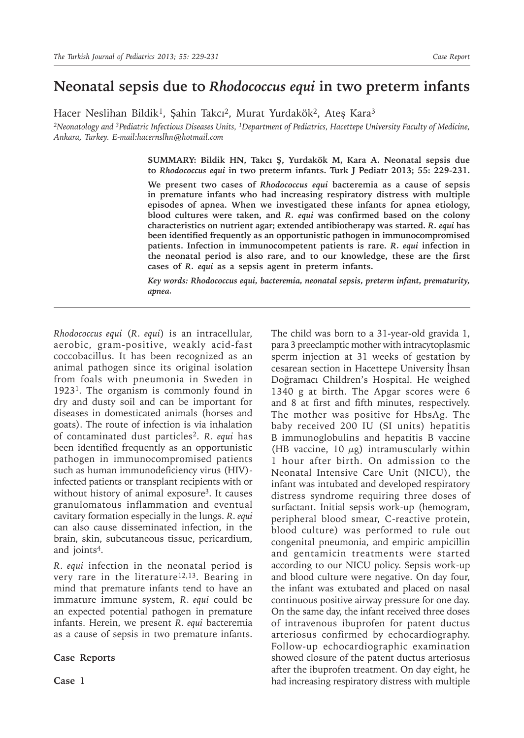## **Neonatal sepsis due to** *Rhodococcus equi* **in two preterm infants**

Hacer Neslihan Bildik<sup>1</sup>, Şahin Takcı<sup>2</sup>, Murat Yurdakök<sup>2</sup>, Ateş Kara<sup>3</sup>

*2Neonatology and 3Pediatric Infectious Diseases Units, 1Department of Pediatrics, Hacettepe University Faculty of Medicine, Ankara, Turkey. E-mail:hacernslhn@hotmail.com*

> **SUMMARY: Bildik HN, Takcı Ş, Yurdakök M, Kara A. Neonatal sepsis due to** *Rhodococcus equi* **in two preterm infants. Turk J Pediatr 2013; 55: 229-231.**

> **We present two cases of** *Rhodococcus equi* **bacteremia as a cause of sepsis in premature infants who had increasing respiratory distress with multiple episodes of apnea. When we investigated these infants for apnea etiology, blood cultures were taken, and** *R. equi* **was confirmed based on the colony characteristics on nutrient agar; extended antibiotherapy was started.** *R. equi* **has been identified frequently as an opportunistic pathogen in immunocompromised patients. Infection in immunocompetent patients is rare.** *R. equi* **infection in the neonatal period is also rare, and to our knowledge, these are the first cases of** *R. equi* **as a sepsis agent in preterm infants.**

> *Key words: Rhodococcus equi, bacteremia, neonatal sepsis, preterm infant, prematurity, apnea.*

*Rhodococcus equi* (*R. equi*) is an intracellular, aerobic, gram-positive, weakly acid-fast coccobacillus. It has been recognized as an animal pathogen since its original isolation from foals with pneumonia in Sweden in 19231. The organism is commonly found in dry and dusty soil and can be important for diseases in domesticated animals (horses and goats). The route of infection is via inhalation of contaminated dust particles<sup>2</sup>. *R. equi* has been identified frequently as an opportunistic pathogen in immunocompromised patients such as human immunodeficiency virus (HIV) infected patients or transplant recipients with or without history of animal exposure<sup>3</sup>. It causes granulomatous inflammation and eventual cavitary formation especially in the lungs. *R. equi* can also cause disseminated infection, in the brain, skin, subcutaneous tissue, pericardium, and joints<sup>4</sup>.

*R. equi* infection in the neonatal period is very rare in the literature<sup>12,13</sup>. Bearing in mind that premature infants tend to have an immature immune system, *R. equi* could be an expected potential pathogen in premature infants. Herein, we present *R. equi* bacteremia as a cause of sepsis in two premature infants.

**Case Reports**

The child was born to a 31-year-old gravida 1, para 3 preeclamptic mother with intracytoplasmic sperm injection at 31 weeks of gestation by cesarean section in Hacettepe University İhsan Doğramacı Children's Hospital. He weighed 1340 g at birth. The Apgar scores were 6 and 8 at first and fifth minutes, respectively. The mother was positive for HbsAg. The baby received 200 IU (SI units) hepatitis B immunoglobulins and hepatitis B vaccine (HB vaccine, 10  $\mu$ g) intramuscularly within 1 hour after birth. On admission to the Neonatal Intensive Care Unit (NICU), the infant was intubated and developed respiratory distress syndrome requiring three doses of surfactant. Initial sepsis work-up (hemogram, peripheral blood smear, C-reactive protein, blood culture) was performed to rule out congenital pneumonia, and empiric ampicillin and gentamicin treatments were started according to our NICU policy. Sepsis work-up and blood culture were negative. On day four, the infant was extubated and placed on nasal continuous positive airway pressure for one day. On the same day, the infant received three doses of intravenous ibuprofen for patent ductus arteriosus confirmed by echocardiography. Follow-up echocardiographic examination showed closure of the patent ductus arteriosus after the ibuprofen treatment. On day eight, he had increasing respiratory distress with multiple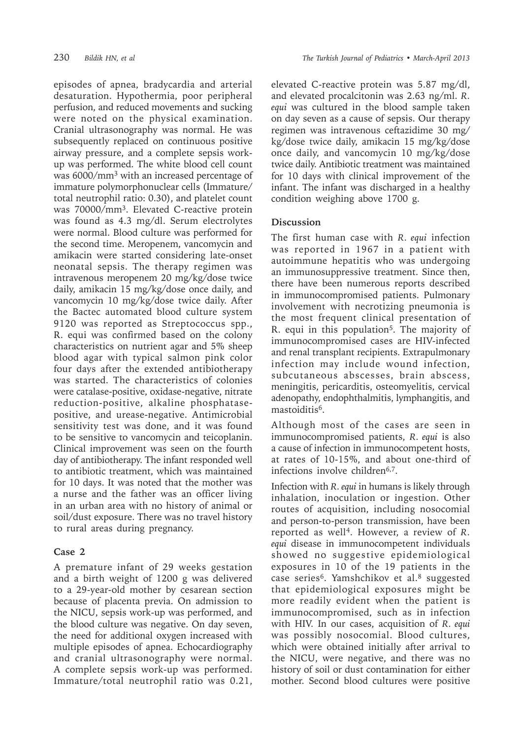episodes of apnea, bradycardia and arterial desaturation. Hypothermia, poor peripheral perfusion, and reduced movements and sucking were noted on the physical examination. Cranial ultrasonography was normal. He was subsequently replaced on continuous positive airway pressure, and a complete sepsis workup was performed. The white blood cell count was 6000/mm<sup>3</sup> with an increased percentage of immature polymorphonuclear cells (Immature/ total neutrophil ratio: 0.30), and platelet count was 70000/mm<sup>3</sup>. Elevated C-reactive protein was found as 4.3 mg/dl. Serum electrolytes were normal. Blood culture was performed for the second time. Meropenem, vancomycin and amikacin were started considering late-onset neonatal sepsis. The therapy regimen was intravenous meropenem 20 mg/kg/dose twice daily, amikacin 15 mg/kg/dose once daily, and vancomycin 10 mg/kg/dose twice daily. After the Bactec automated blood culture system 9120 was reported as Streptococcus spp., R. equi was confirmed based on the colony characteristics on nutrient agar and 5% sheep blood agar with typical salmon pink color four days after the extended antibiotherapy was started. The characteristics of colonies were catalase-positive, oxidase-negative, nitrate reduction-positive, alkaline phosphatasepositive, and urease-negative. Antimicrobial sensitivity test was done, and it was found to be sensitive to vancomycin and teicoplanin. Clinical improvement was seen on the fourth day of antibiotherapy. The infant responded well to antibiotic treatment, which was maintained for 10 days. It was noted that the mother was a nurse and the father was an officer living in an urban area with no history of animal or soil/dust exposure. There was no travel history to rural areas during pregnancy.

## **Case 2**

A premature infant of 29 weeks gestation and a birth weight of 1200 g was delivered to a 29-year-old mother by cesarean section because of placenta previa. On admission to the NICU, sepsis work-up was performed, and the blood culture was negative. On day seven, the need for additional oxygen increased with multiple episodes of apnea. Echocardiography and cranial ultrasonography were normal. A complete sepsis work-up was performed. Immature/total neutrophil ratio was 0.21, elevated C-reactive protein was 5.87 mg/dl, and elevated procalcitonin was 2.63 ng/ml. *R. equi* was cultured in the blood sample taken on day seven as a cause of sepsis. Our therapy regimen was intravenous ceftazidime 30 mg/ kg/dose twice daily, amikacin 15 mg/kg/dose once daily, and vancomycin 10 mg/kg/dose twice daily. Antibiotic treatment was maintained for 10 days with clinical improvement of the infant. The infant was discharged in a healthy condition weighing above 1700 g.

## **Discussion**

The first human case with *R. equi* infection was reported in 1967 in a patient with autoimmune hepatitis who was undergoing an immunosuppressive treatment. Since then, there have been numerous reports described in immunocompromised patients. Pulmonary involvement with necrotizing pneumonia is the most frequent clinical presentation of R. equi in this population<sup>5</sup>. The majority of immunocompromised cases are HIV-infected and renal transplant recipients. Extrapulmonary infection may include wound infection, subcutaneous abscesses, brain abscess, meningitis, pericarditis, osteomyelitis, cervical adenopathy, endophthalmitis, lymphangitis, and mastoiditis<sup>6</sup>.

Although most of the cases are seen in immunocompromised patients, *R. equi* is also a cause of infection in immunocompetent hosts, at rates of 10-15%, and about one-third of infections involve children<sup>6,7</sup>.

Infection with *R. equi* in humans is likely through inhalation, inoculation or ingestion. Other routes of acquisition, including nosocomial and person-to-person transmission, have been reported as well<sup>4</sup>. However, a review of *R. equi* disease in immunocompetent individuals showed no suggestive epidemiological exposures in 10 of the 19 patients in the case series<sup>6</sup>. Yamshchikov et al.<sup>8</sup> suggested that epidemiological exposures might be more readily evident when the patient is immunocompromised, such as in infection with HIV. In our cases, acquisition of *R. equi*  was possibly nosocomial. Blood cultures, which were obtained initially after arrival to the NICU, were negative, and there was no history of soil or dust contamination for either mother. Second blood cultures were positive